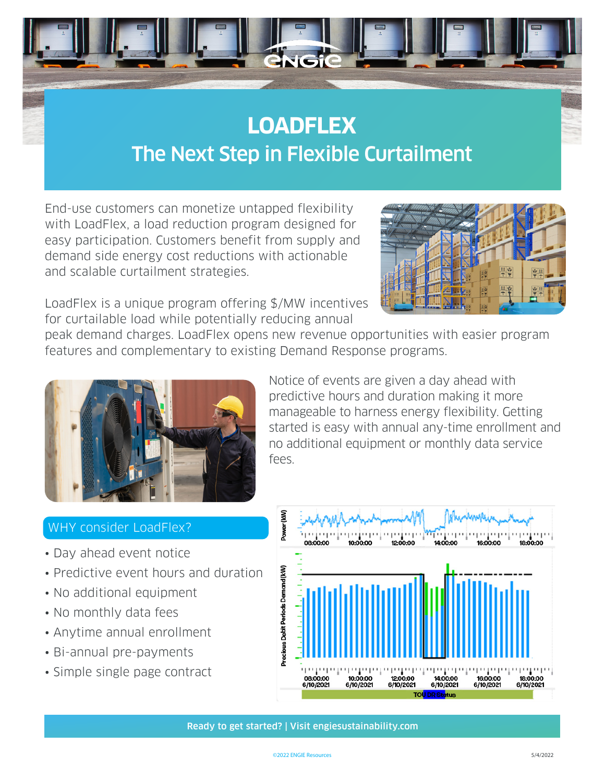

## **LOADFLEX** The Next Step in Flexible Curtailment

End-use customers can monetize untapped flexibility with LoadFlex, a load reduction program designed for easy participation. Customers benefit from supply and demand side energy cost reductions with actionable and scalable curtailment strategies.



LoadFlex is a unique program offering \$/MW incentives for curtailable load while potentially reducing annual

peak demand charges. LoadFlex opens new revenue opportunities with easier program features and complementary to existing Demand Response programs.



Notice of events are given a day ahead with predictive hours and duration making it more manageable to harness energy flexibility. Getting started is easy with annual any-time enrollment and no additional equipment or monthly data service fees.

## WHY consider LoadFlex?

- Day ahead event notice
- Predictive event hours and duration
- No additional equipment
- No monthly data fees
- Anytime annual enrollment
- Bi-annual pre-payments
- Simple single page contract



Ready to get started? | Visit engiesustainability.com